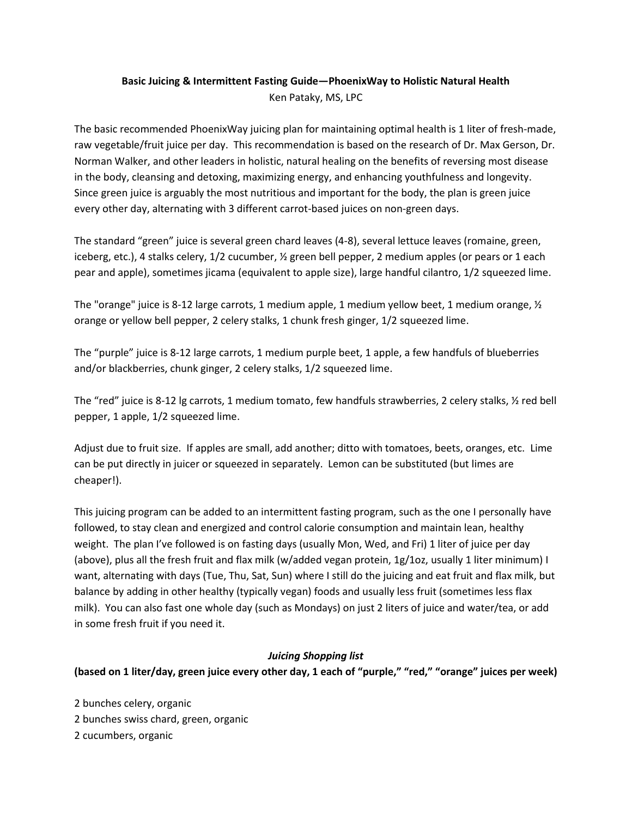## **Basic Juicing & Intermittent Fasting Guide—PhoenixWay to Holistic Natural Health** Ken Pataky, MS, LPC

The basic recommended PhoenixWay juicing plan for maintaining optimal health is 1 liter of fresh-made, raw vegetable/fruit juice per day. This recommendation is based on the research of Dr. Max Gerson, Dr. Norman Walker, and other leaders in holistic, natural healing on the benefits of reversing most disease in the body, cleansing and detoxing, maximizing energy, and enhancing youthfulness and longevity. Since green juice is arguably the most nutritious and important for the body, the plan is green juice every other day, alternating with 3 different carrot-based juices on non-green days.

The standard "green" juice is several green chard leaves (4-8), several lettuce leaves (romaine, green, iceberg, etc.), 4 stalks celery, 1/2 cucumber, ½ green bell pepper, 2 medium apples (or pears or 1 each pear and apple), sometimes jicama (equivalent to apple size), large handful cilantro, 1/2 squeezed lime.

The "orange" juice is 8-12 large carrots, 1 medium apple, 1 medium yellow beet, 1 medium orange,  $\frac{1}{2}$ orange or yellow bell pepper, 2 celery stalks, 1 chunk fresh ginger, 1/2 squeezed lime.

The "purple" juice is 8-12 large carrots, 1 medium purple beet, 1 apple, a few handfuls of blueberries and/or blackberries, chunk ginger, 2 celery stalks, 1/2 squeezed lime.

The "red" juice is 8-12 lg carrots, 1 medium tomato, few handfuls strawberries, 2 celery stalks, ½ red bell pepper, 1 apple, 1/2 squeezed lime.

Adjust due to fruit size. If apples are small, add another; ditto with tomatoes, beets, oranges, etc. Lime can be put directly in juicer or squeezed in separately. Lemon can be substituted (but limes are cheaper!).

This juicing program can be added to an intermittent fasting program, such as the one I personally have followed, to stay clean and energized and control calorie consumption and maintain lean, healthy weight. The plan I've followed is on fasting days (usually Mon, Wed, and Fri) 1 liter of juice per day (above), plus all the fresh fruit and flax milk (w/added vegan protein, 1g/1oz, usually 1 liter minimum) I want, alternating with days (Tue, Thu, Sat, Sun) where I still do the juicing and eat fruit and flax milk, but balance by adding in other healthy (typically vegan) foods and usually less fruit (sometimes less flax milk). You can also fast one whole day (such as Mondays) on just 2 liters of juice and water/tea, or add in some fresh fruit if you need it.

## *Juicing Shopping list*

**(based on 1 liter/day, green juice every other day, 1 each of "purple," "red," "orange" juices per week)**

2 bunches celery, organic 2 bunches swiss chard, green, organic 2 cucumbers, organic